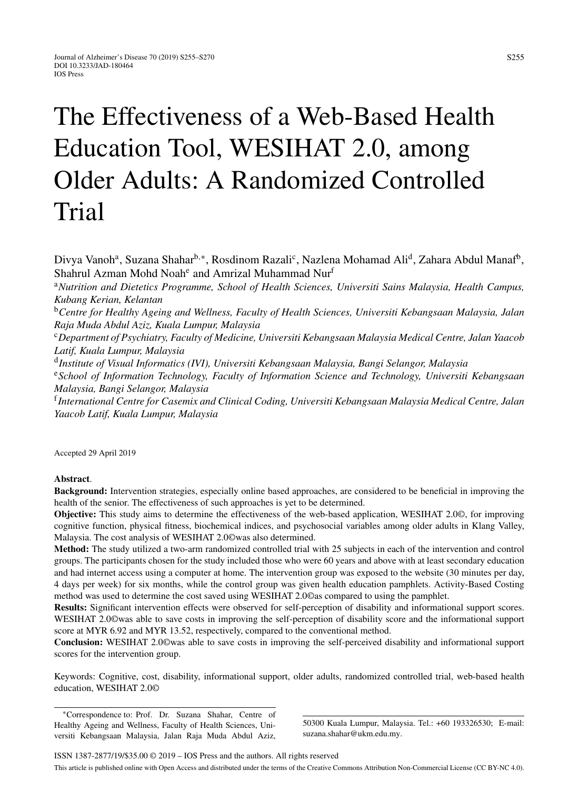# The Effectiveness of a Web-Based Health Education Tool, WESIHAT 2.0, among Older Adults: A Randomized Controlled Trial

Divya Vanoh<sup>a</sup>, Suzana Shahar<sup>b,∗</sup>, Rosdinom Razali<sup>c</sup>, Nazlena Mohamad Ali<sup>d</sup>, Zahara Abdul Manaf<sup>b</sup>, Shahrul Azman Mohd Noah<sup>e</sup> and Amrizal Muhammad Nur<sup>f</sup>

<sup>a</sup>*Nutrition and Dietetics Programme, School of Health Sciences, Universiti Sains Malaysia, Health Campus, Kubang Kerian, Kelantan*

<sup>b</sup>*Centre for Healthy Ageing and Wellness, Faculty of Health Sciences, Universiti Kebangsaan Malaysia, Jalan Raja Muda Abdul Aziz, Kuala Lumpur, Malaysia*

<sup>c</sup>*Department of Psychiatry, Faculty of Medicine, Universiti Kebangsaan Malaysia Medical Centre, Jalan Yaacob Latif, Kuala Lumpur, Malaysia*

<sup>d</sup>*Institute of Visual Informatics (IVI), Universiti Kebangsaan Malaysia, Bangi Selangor, Malaysia*

<sup>e</sup>*School of Information Technology, Faculty of Information Science and Technology, Universiti Kebangsaan Malaysia, Bangi Selangor, Malaysia*

<sup>f</sup>*International Centre for Casemix and Clinical Coding, Universiti Kebangsaan Malaysia Medical Centre, Jalan Yaacob Latif, Kuala Lumpur, Malaysia*

Accepted 29 April 2019

# **Abstract**.

**Background:** Intervention strategies, especially online based approaches, are considered to be beneficial in improving the health of the senior. The effectiveness of such approaches is yet to be determined.

**Objective:** This study aims to determine the effectiveness of the web-based application, WESIHAT 2.0©, for improving cognitive function, physical fitness, biochemical indices, and psychosocial variables among older adults in Klang Valley, Malaysia. The cost analysis of WESIHAT 2.0©was also determined.

**Method:** The study utilized a two-arm randomized controlled trial with 25 subjects in each of the intervention and control groups. The participants chosen for the study included those who were 60 years and above with at least secondary education and had internet access using a computer at home. The intervention group was exposed to the website (30 minutes per day, 4 days per week) for six months, while the control group was given health education pamphlets. Activity-Based Costing method was used to determine the cost saved using WESIHAT 2.0©as compared to using the pamphlet.

**Results:** Significant intervention effects were observed for self-perception of disability and informational support scores. WESIHAT 2.0©was able to save costs in improving the self-perception of disability score and the informational support score at MYR 6.92 and MYR 13.52, respectively, compared to the conventional method.

**Conclusion:** WESIHAT 2.0©was able to save costs in improving the self-perceived disability and informational support scores for the intervention group.

Keywords: Cognitive, cost, disability, informational support, older adults, randomized controlled trial, web-based health education, WESIHAT 2.0©

∗Correspondence to: Prof. Dr. Suzana Shahar, Centre of Healthy Ageing and Wellness, Faculty of Health Sciences, Universiti Kebangsaan Malaysia, Jalan Raja Muda Abdul Aziz,

50300 Kuala Lumpur, Malaysia. Tel.: +60 193326530; E-mail: [suzana.shahar@ukm.edu.my.](mailto:suzana.shahar@ukm.edu.my)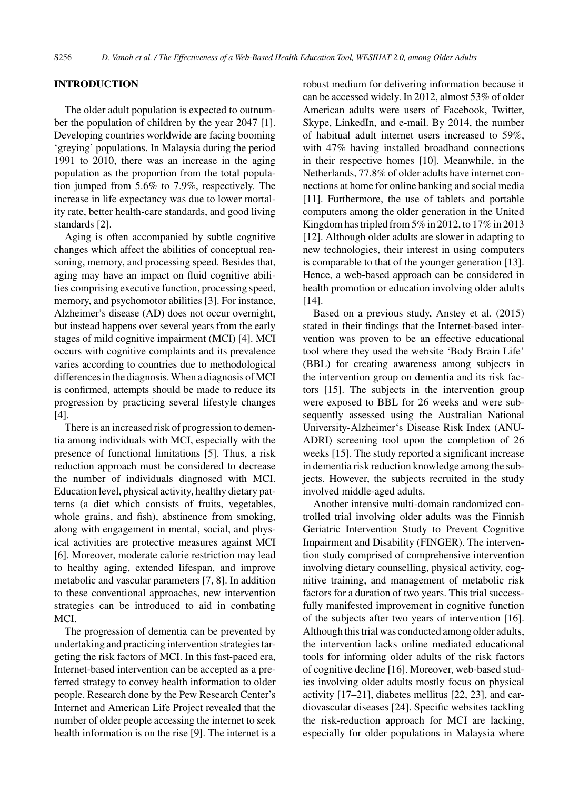# **INTRODUCTION**

The older adult population is expected to outnumber the population of children by the year 2047 [1]. Developing countries worldwide are facing booming 'greying' populations. In Malaysia during the period 1991 to 2010, there was an increase in the aging population as the proportion from the total population jumped from 5.6% to 7.9%, respectively. The increase in life expectancy was due to lower mortality rate, better health-care standards, and good living standards [2].

Aging is often accompanied by subtle cognitive changes which affect the abilities of conceptual reasoning, memory, and processing speed. Besides that, aging may have an impact on fluid cognitive abilities comprising executive function, processing speed, memory, and psychomotor abilities [3]. For instance, Alzheimer's disease (AD) does not occur overnight, but instead happens over several years from the early stages of mild cognitive impairment (MCI) [4]. MCI occurs with cognitive complaints and its prevalence varies according to countries due to methodological differences in the diagnosis. When a diagnosis of MCI is confirmed, attempts should be made to reduce its progression by practicing several lifestyle changes [4].

There is an increased risk of progression to dementia among individuals with MCI, especially with the presence of functional limitations [5]. Thus, a risk reduction approach must be considered to decrease the number of individuals diagnosed with MCI. Education level, physical activity, healthy dietary patterns (a diet which consists of fruits, vegetables, whole grains, and fish), abstinence from smoking, along with engagement in mental, social, and physical activities are protective measures against MCI [6]. Moreover, moderate calorie restriction may lead to healthy aging, extended lifespan, and improve metabolic and vascular parameters [7, 8]. In addition to these conventional approaches, new intervention strategies can be introduced to aid in combating MCI.

The progression of dementia can be prevented by undertaking and practicing intervention strategies targeting the risk factors of MCI. In this fast-paced era, Internet-based intervention can be accepted as a preferred strategy to convey health information to older people. Research done by the Pew Research Center's Internet and American Life Project revealed that the number of older people accessing the internet to seek health information is on the rise [9]. The internet is a

robust medium for delivering information because it can be accessed widely. In 2012, almost 53% of older American adults were users of Facebook, Twitter, Skype, LinkedIn, and e-mail. By 2014, the number of habitual adult internet users increased to 59%, with 47% having installed broadband connections in their respective homes [10]. Meanwhile, in the Netherlands, 77.8% of older adults have internet connections at home for online banking and social media [11]. Furthermore, the use of tablets and portable computers among the older generation in the United Kingdom has tripled from 5% in 2012, to 17% in 2013 [12]. Although older adults are slower in adapting to new technologies, their interest in using computers is comparable to that of the younger generation [13]. Hence, a web-based approach can be considered in health promotion or education involving older adults [14].

Based on a previous study, Anstey et al. (2015) stated in their findings that the Internet-based intervention was proven to be an effective educational tool where they used the website 'Body Brain Life' (BBL) for creating awareness among subjects in the intervention group on dementia and its risk factors [15]. The subjects in the intervention group were exposed to BBL for 26 weeks and were subsequently assessed using the Australian National University-Alzheimer's Disease Risk Index (ANU-ADRI) screening tool upon the completion of 26 weeks [15]. The study reported a significant increase in dementia risk reduction knowledge among the subjects. However, the subjects recruited in the study involved middle-aged adults.

Another intensive multi-domain randomized controlled trial involving older adults was the Finnish Geriatric Intervention Study to Prevent Cognitive Impairment and Disability (FINGER). The intervention study comprised of comprehensive intervention involving dietary counselling, physical activity, cognitive training, and management of metabolic risk factors for a duration of two years. This trial successfully manifested improvement in cognitive function of the subjects after two years of intervention [16]. Although this trial was conducted among older adults, the intervention lacks online mediated educational tools for informing older adults of the risk factors of cognitive decline [16]. Moreover, web-based studies involving older adults mostly focus on physical activity [17–21], diabetes mellitus [22, 23], and cardiovascular diseases [24]. Specific websites tackling the risk-reduction approach for MCI are lacking, especially for older populations in Malaysia where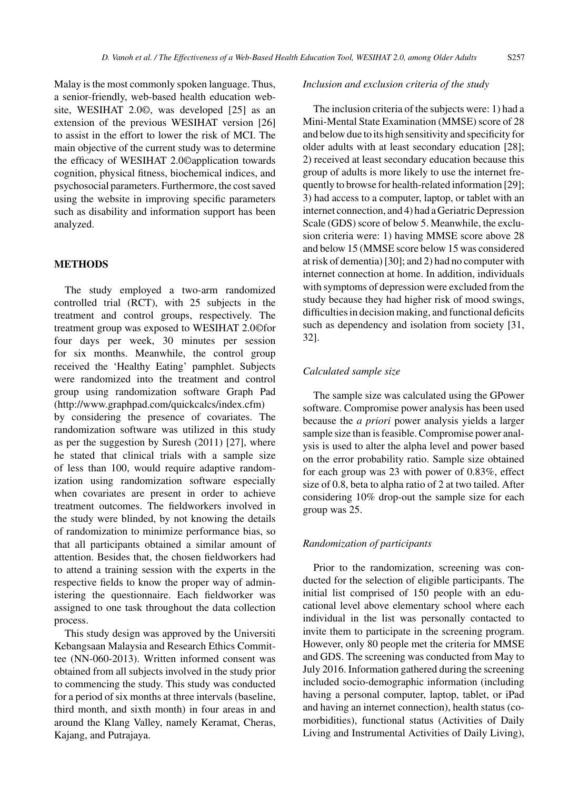Malay is the most commonly spoken language. Thus, a senior-friendly, web-based health education website, WESIHAT 2.0©, was developed [25] as an extension of the previous WESIHAT version [26] to assist in the effort to lower the risk of MCI. The main objective of the current study was to determine the efficacy of WESIHAT 2.0©application towards cognition, physical fitness, biochemical indices, and psychosocial parameters. Furthermore, the cost saved using the website in improving specific parameters such as disability and information support has been analyzed.

# **METHODS**

The study employed a two-arm randomized controlled trial (RCT), with 25 subjects in the treatment and control groups, respectively. The treatment group was exposed to WESIHAT 2.0©for four days per week, 30 minutes per session for six months. Meanwhile, the control group received the 'Healthy Eating' pamphlet. Subjects were randomized into the treatment and control group using randomization software Graph Pad [\(http://www.graphpad.com/quickcalcs/index.cfm\)](http://www.graphpad.com/quickcalcs/index.cfm) by considering the presence of covariates. The randomization software was utilized in this study as per the suggestion by Suresh (2011) [27], where he stated that clinical trials with a sample size of less than 100, would require adaptive randomization using randomization software especially when covariates are present in order to achieve treatment outcomes. The fieldworkers involved in the study were blinded, by not knowing the details of randomization to minimize performance bias, so that all participants obtained a similar amount of attention. Besides that, the chosen fieldworkers had to attend a training session with the experts in the respective fields to know the proper way of administering the questionnaire. Each fieldworker was assigned to one task throughout the data collection process.

This study design was approved by the Universiti Kebangsaan Malaysia and Research Ethics Committee (NN-060-2013). Written informed consent was obtained from all subjects involved in the study prior to commencing the study. This study was conducted for a period of six months at three intervals (baseline, third month, and sixth month) in four areas in and around the Klang Valley, namely Keramat, Cheras, Kajang, and Putrajaya.

#### *Inclusion and exclusion criteria of the study*

The inclusion criteria of the subjects were: 1) had a Mini-Mental State Examination (MMSE) score of 28 and below due to its high sensitivity and specificity for older adults with at least secondary education [28]; 2) received at least secondary education because this group of adults is more likely to use the internet frequently to browse for health-related information [29]; 3) had access to a computer, laptop, or tablet with an internet connection, and 4) had a Geriatric Depression Scale (GDS) score of below 5. Meanwhile, the exclusion criteria were: 1) having MMSE score above 28 and below 15 (MMSE score below 15 was considered at risk of dementia) [30]; and 2) had no computer with internet connection at home. In addition, individuals with symptoms of depression were excluded from the study because they had higher risk of mood swings, difficulties in decision making, and functional deficits such as dependency and isolation from society [31, 32].

# *Calculated sample size*

The sample size was calculated using the GPower software. Compromise power analysis has been used because the *a priori* power analysis yields a larger sample size than is feasible. Compromise power analysis is used to alter the alpha level and power based on the error probability ratio. Sample size obtained for each group was 23 with power of 0.83%, effect size of 0.8, beta to alpha ratio of 2 at two tailed. After considering 10% drop-out the sample size for each group was 25.

#### *Randomization of participants*

Prior to the randomization, screening was conducted for the selection of eligible participants. The initial list comprised of 150 people with an educational level above elementary school where each individual in the list was personally contacted to invite them to participate in the screening program. However, only 80 people met the criteria for MMSE and GDS. The screening was conducted from May to July 2016. Information gathered during the screening included socio-demographic information (including having a personal computer, laptop, tablet, or iPad and having an internet connection), health status (comorbidities), functional status (Activities of Daily Living and Instrumental Activities of Daily Living),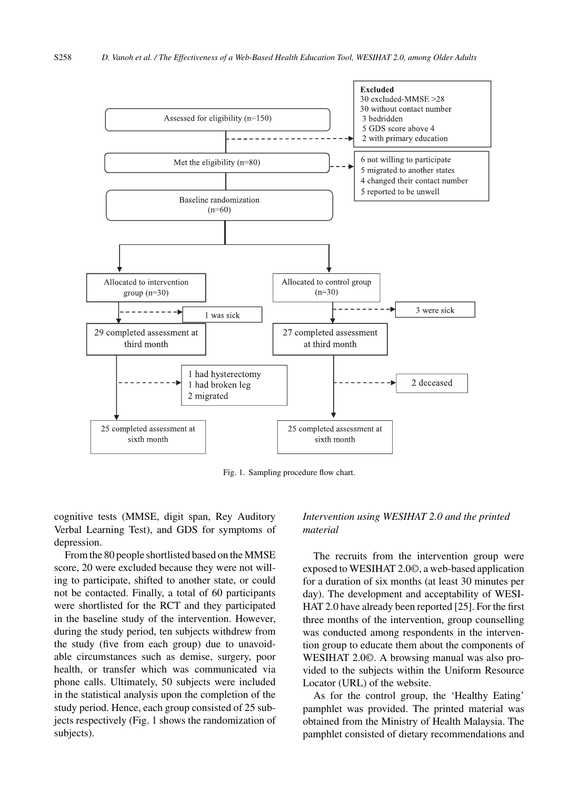

Fig. 1. Sampling procedure flow chart.

cognitive tests (MMSE, digit span, Rey Auditory Verbal Learning Test), and GDS for symptoms of depression.

From the 80 people shortlisted based on the MMSE score, 20 were excluded because they were not willing to participate, shifted to another state, or could not be contacted. Finally, a total of 60 participants were shortlisted for the RCT and they participated in the baseline study of the intervention. However, during the study period, ten subjects withdrew from the study (five from each group) due to unavoidable circumstances such as demise, surgery, poor health, or transfer which was communicated via phone calls. Ultimately, 50 subjects were included in the statistical analysis upon the completion of the study period. Hence, each group consisted of 25 subjects respectively (Fig. 1 shows the randomization of subjects).

# *Intervention using WESIHAT 2.0 and the printed material*

The recruits from the intervention group were exposed to WESIHAT 2.0©, a web-based application for a duration of six months (at least 30 minutes per day). The development and acceptability of WESI-HAT 2.0 have already been reported [25]. For the first three months of the intervention, group counselling was conducted among respondents in the intervention group to educate them about the components of WESIHAT 2.0©. A browsing manual was also provided to the subjects within the Uniform Resource Locator (URL) of the website.

As for the control group, the 'Healthy Eating' pamphlet was provided. The printed material was obtained from the Ministry of Health Malaysia. The pamphlet consisted of dietary recommendations and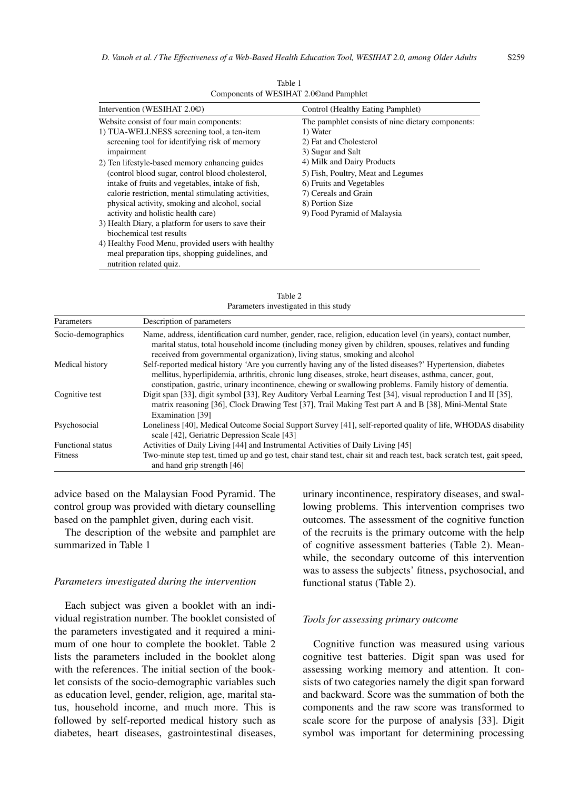| Intervention (WESIHAT 2.00)                         | Control (Healthy Eating Pamphlet)                 |
|-----------------------------------------------------|---------------------------------------------------|
| Website consist of four main components:            | The pamphlet consists of nine dietary components: |
| 1) TUA-WELLNESS screening tool, a ten-item          | 1) Water                                          |
| screening tool for identifying risk of memory       | 2) Fat and Cholesterol                            |
| impairment                                          | 3) Sugar and Salt                                 |
| 2) Ten lifestyle-based memory enhancing guides      | 4) Milk and Dairy Products                        |
| (control blood sugar, control blood cholesterol,    | 5) Fish, Poultry, Meat and Legumes                |
| intake of fruits and vegetables, intake of fish,    | 6) Fruits and Vegetables                          |
| calorie restriction, mental stimulating activities, | 7) Cereals and Grain                              |
| physical activity, smoking and alcohol, social      | 8) Portion Size                                   |
| activity and holistic health care)                  | 9) Food Pyramid of Malaysia                       |
| 3) Health Diary, a platform for users to save their |                                                   |
| biochemical test results                            |                                                   |
| 4) Healthy Food Menu, provided users with healthy   |                                                   |
| meal preparation tips, shopping guidelines, and     |                                                   |
| nutrition related quiz.                             |                                                   |

Table 1 Components of WESIHAT 2.0©and Pamphlet

| Parameters               | Description of parameters                                                                                                                                                                                                                                                                                                            |
|--------------------------|--------------------------------------------------------------------------------------------------------------------------------------------------------------------------------------------------------------------------------------------------------------------------------------------------------------------------------------|
| Socio-demographics       | Name, address, identification card number, gender, race, religion, education level (in years), contact number,<br>marital status, total household income (including money given by children, spouses, relatives and funding<br>received from governmental organization), living status, smoking and alcohol                          |
| Medical history          | Self-reported medical history 'Are you currently having any of the listed diseases?' Hypertension, diabetes<br>mellitus, hyperlipidemia, arthritis, chronic lung diseases, stroke, heart diseases, asthma, cancer, gout,<br>constipation, gastric, urinary incontinence, chewing or swallowing problems. Family history of dementia. |
| Cognitive test           | Digit span [33], digit symbol [33], Rey Auditory Verbal Learning Test [34], visual reproduction I and II [35],<br>matrix reasoning [36], Clock Drawing Test [37], Trail Making Test part A and B [38], Mini-Mental State<br>Examination [39]                                                                                         |
| Psychosocial             | Loneliness [40], Medical Outcome Social Support Survey [41], self-reported quality of life, WHODAS disability<br>scale [42], Geriatric Depression Scale [43]                                                                                                                                                                         |
| <b>Functional status</b> | Activities of Daily Living [44] and Instrumental Activities of Daily Living [45]                                                                                                                                                                                                                                                     |
| Fitness                  | Two-minute step test, timed up and go test, chair stand test, chair sit and reach test, back scratch test, gait speed,<br>and hand grip strength [46]                                                                                                                                                                                |

Table 2 Parameters investigated in this study

advice based on the Malaysian Food Pyramid. The control group was provided with dietary counselling based on the pamphlet given, during each visit.

The description of the website and pamphlet are summarized in Table 1

#### *Parameters investigated during the intervention*

Each subject was given a booklet with an individual registration number. The booklet consisted of the parameters investigated and it required a minimum of one hour to complete the booklet. Table 2 lists the parameters included in the booklet along with the references. The initial section of the booklet consists of the socio-demographic variables such as education level, gender, religion, age, marital status, household income, and much more. This is followed by self-reported medical history such as diabetes, heart diseases, gastrointestinal diseases,

urinary incontinence, respiratory diseases, and swallowing problems. This intervention comprises two outcomes. The assessment of the cognitive function of the recruits is the primary outcome with the help of cognitive assessment batteries (Table 2). Meanwhile, the secondary outcome of this intervention was to assess the subjects' fitness, psychosocial, and functional status (Table 2).

## *Tools for assessing primary outcome*

Cognitive function was measured using various cognitive test batteries. Digit span was used for assessing working memory and attention. It consists of two categories namely the digit span forward and backward. Score was the summation of both the components and the raw score was transformed to scale score for the purpose of analysis [33]. Digit symbol was important for determining processing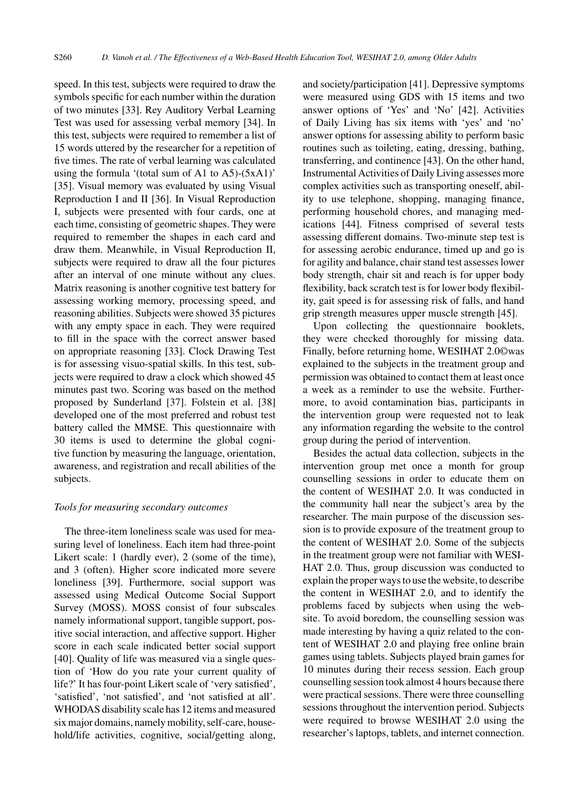speed. In this test, subjects were required to draw the symbols specific for each number within the duration of two minutes [33]. Rey Auditory Verbal Learning Test was used for assessing verbal memory [34]. In this test, subjects were required to remember a list of 15 words uttered by the researcher for a repetition of five times. The rate of verbal learning was calculated using the formula '(total sum of A1 to A5)- $(5xA1)'$ [35]. Visual memory was evaluated by using Visual Reproduction I and II [36]. In Visual Reproduction I, subjects were presented with four cards, one at each time, consisting of geometric shapes. They were required to remember the shapes in each card and draw them. Meanwhile, in Visual Reproduction II, subjects were required to draw all the four pictures after an interval of one minute without any clues. Matrix reasoning is another cognitive test battery for assessing working memory, processing speed, and reasoning abilities. Subjects were showed 35 pictures with any empty space in each. They were required to fill in the space with the correct answer based on appropriate reasoning [33]. Clock Drawing Test is for assessing visuo-spatial skills. In this test, subjects were required to draw a clock which showed 45 minutes past two. Scoring was based on the method proposed by Sunderland [37]. Folstein et al. [38] developed one of the most preferred and robust test battery called the MMSE. This questionnaire with 30 items is used to determine the global cognitive function by measuring the language, orientation, awareness, and registration and recall abilities of the subjects.

#### *Tools for measuring secondary outcomes*

The three-item loneliness scale was used for measuring level of loneliness. Each item had three-point Likert scale: 1 (hardly ever), 2 (some of the time), and 3 (often). Higher score indicated more severe loneliness [39]. Furthermore, social support was assessed using Medical Outcome Social Support Survey (MOSS). MOSS consist of four subscales namely informational support, tangible support, positive social interaction, and affective support. Higher score in each scale indicated better social support [40]. Quality of life was measured via a single question of 'How do you rate your current quality of life?' It has four-point Likert scale of 'very satisfied', 'satisfied', 'not satisfied', and 'not satisfied at all'. WHODAS disability scale has 12 items and measured six major domains, namely mobility, self-care, household/life activities, cognitive, social/getting along,

and society/participation [41]. Depressive symptoms were measured using GDS with 15 items and two answer options of 'Yes' and 'No' [42]. Activities of Daily Living has six items with 'yes' and 'no' answer options for assessing ability to perform basic routines such as toileting, eating, dressing, bathing, transferring, and continence [43]. On the other hand, Instrumental Activities of Daily Living assesses more complex activities such as transporting oneself, ability to use telephone, shopping, managing finance, performing household chores, and managing medications [44]. Fitness comprised of several tests assessing different domains. Two-minute step test is for assessing aerobic endurance, timed up and go is for agility and balance, chair stand test assesses lower body strength, chair sit and reach is for upper body flexibility, back scratch test is for lower body flexibility, gait speed is for assessing risk of falls, and hand grip strength measures upper muscle strength [45].

Upon collecting the questionnaire booklets, they were checked thoroughly for missing data. Finally, before returning home, WESIHAT 2.0©was explained to the subjects in the treatment group and permission was obtained to contact them at least once a week as a reminder to use the website. Furthermore, to avoid contamination bias, participants in the intervention group were requested not to leak any information regarding the website to the control group during the period of intervention.

Besides the actual data collection, subjects in the intervention group met once a month for group counselling sessions in order to educate them on the content of WESIHAT 2.0. It was conducted in the community hall near the subject's area by the researcher. The main purpose of the discussion session is to provide exposure of the treatment group to the content of WESIHAT 2.0. Some of the subjects in the treatment group were not familiar with WESI-HAT 2.0. Thus, group discussion was conducted to explain the proper ways to use the website, to describe the content in WESIHAT 2.0, and to identify the problems faced by subjects when using the website. To avoid boredom, the counselling session was made interesting by having a quiz related to the content of WESIHAT 2.0 and playing free online brain games using tablets. Subjects played brain games for 10 minutes during their recess session. Each group counselling session took almost 4 hours because there were practical sessions. There were three counselling sessions throughout the intervention period. Subjects were required to browse WESIHAT 2.0 using the researcher's laptops, tablets, and internet connection.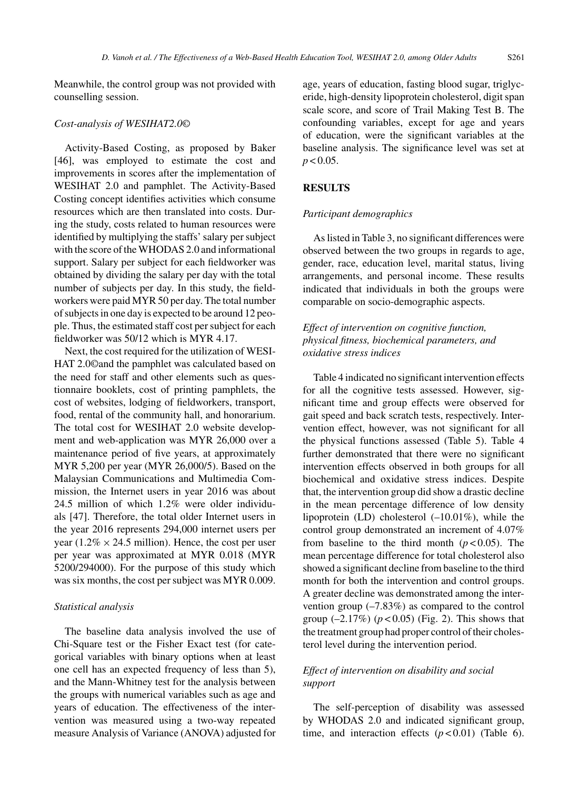Meanwhile, the control group was not provided with counselling session.

## *Cost-analysis of WESIHAT2.0©*

Activity-Based Costing, as proposed by Baker [46], was employed to estimate the cost and improvements in scores after the implementation of WESIHAT 2.0 and pamphlet. The Activity-Based Costing concept identifies activities which consume resources which are then translated into costs. During the study, costs related to human resources were identified by multiplying the staffs' salary per subject with the score of the WHODAS 2.0 and informational support. Salary per subject for each fieldworker was obtained by dividing the salary per day with the total number of subjects per day. In this study, the fieldworkers were paid MYR 50 per day. The total number of subjects in one day is expected to be around 12 people. Thus, the estimated staff cost per subject for each fieldworker was 50/12 which is MYR 4.17.

Next, the cost required for the utilization of WESI-HAT 2.0©and the pamphlet was calculated based on the need for staff and other elements such as questionnaire booklets, cost of printing pamphlets, the cost of websites, lodging of fieldworkers, transport, food, rental of the community hall, and honorarium. The total cost for WESIHAT 2.0 website development and web-application was MYR 26,000 over a maintenance period of five years, at approximately MYR 5,200 per year (MYR 26,000/5). Based on the Malaysian Communications and Multimedia Commission, the Internet users in year 2016 was about 24.5 million of which 1.2% were older individuals [47]. Therefore, the total older Internet users in the year 2016 represents 294,000 internet users per year (1.2%  $\times$  24.5 million). Hence, the cost per user per year was approximated at MYR 0.018 (MYR 5200/294000). For the purpose of this study which was six months, the cost per subject was MYR 0.009.

#### *Statistical analysis*

The baseline data analysis involved the use of Chi-Square test or the Fisher Exact test (for categorical variables with binary options when at least one cell has an expected frequency of less than 5), and the Mann-Whitney test for the analysis between the groups with numerical variables such as age and years of education. The effectiveness of the intervention was measured using a two-way repeated measure Analysis of Variance (ANOVA) adjusted for

age, years of education, fasting blood sugar, triglyceride, high-density lipoprotein cholesterol, digit span scale score, and score of Trail Making Test B. The confounding variables, except for age and years of education, were the significant variables at the baseline analysis. The significance level was set at  $p < 0.05$ .

## **RESULTS**

# *Participant demographics*

As listed in Table 3, no significant differences were observed between the two groups in regards to age, gender, race, education level, marital status, living arrangements, and personal income. These results indicated that individuals in both the groups were comparable on socio-demographic aspects.

# *Effect of intervention on cognitive function, physical fitness, biochemical parameters, and oxidative stress indices*

Table 4 indicated no significant intervention effects for all the cognitive tests assessed. However, significant time and group effects were observed for gait speed and back scratch tests, respectively. Intervention effect, however, was not significant for all the physical functions assessed (Table 5). Table 4 further demonstrated that there were no significant intervention effects observed in both groups for all biochemical and oxidative stress indices. Despite that, the intervention group did show a drastic decline in the mean percentage difference of low density lipoprotein (LD) cholesterol (–10.01%), while the control group demonstrated an increment of 4.07% from baseline to the third month  $(p < 0.05)$ . The mean percentage difference for total cholesterol also showed a significant decline from baseline to the third month for both the intervention and control groups. A greater decline was demonstrated among the intervention group (–7.83%) as compared to the control group  $(-2.17\%)$   $(p < 0.05)$  (Fig. 2). This shows that the treatment group had proper control of their cholesterol level during the intervention period.

# *Effect of intervention on disability and social support*

The self-perception of disability was assessed by WHODAS 2.0 and indicated significant group, time, and interaction effects  $(p < 0.01)$  (Table 6).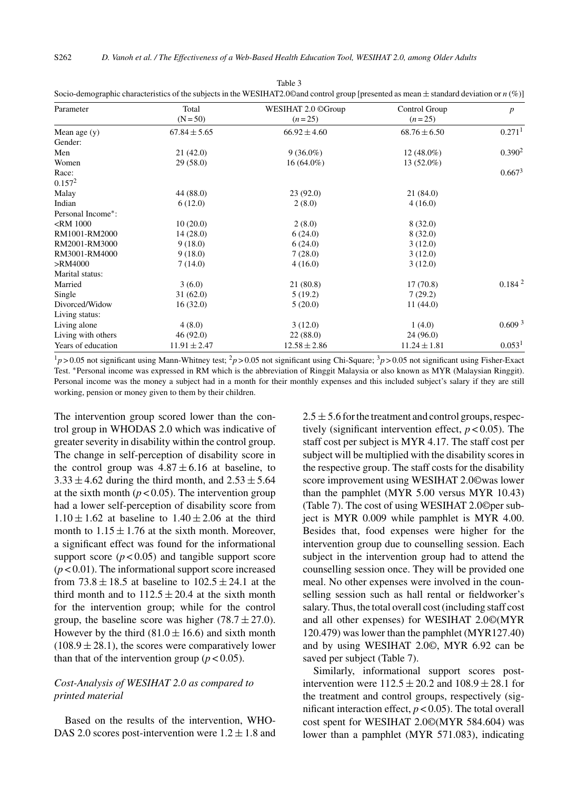S262 *D. Vanoh et al. / The Effectiveness of a Web-Based Health Education Tool, WESIHAT 2.0, among Older Adults*

| Parameter          | Total            | WESIHAT 2.0 ©Group | Control Group    | $\boldsymbol{p}$     |
|--------------------|------------------|--------------------|------------------|----------------------|
|                    | $(N = 50)$       | $(n=25)$           | $(n=25)$         |                      |
| Mean age $(y)$     | $67.84 \pm 5.65$ | $66.92 \pm 4.60$   | $68.76 \pm 6.50$ | $0.271$ <sup>1</sup> |
| Gender:            |                  |                    |                  |                      |
| Men                | 21(42.0)         | $9(36.0\%)$        | $12(48.0\%)$     | 0.390 <sup>2</sup>   |
| Women              | 29(58.0)         | $16(64.0\%)$       | $13(52.0\%)$     |                      |
| Race:              |                  |                    |                  | 0.667 <sup>3</sup>   |
| $0.157^2$          |                  |                    |                  |                      |
| Malay              | 44 (88.0)        | 23(92.0)           | 21(84.0)         |                      |
| Indian             | 6(12.0)          | 2(8.0)             | 4(16.0)          |                      |
| Personal Income*:  |                  |                    |                  |                      |
| $<$ RM 1000        | 10(20.0)         | 2(8.0)             | 8(32.0)          |                      |
| RM1001-RM2000      | 14(28.0)         | 6(24.0)            | 8(32.0)          |                      |
| RM2001-RM3000      | 9(18.0)          | 6(24.0)            | 3(12.0)          |                      |
| RM3001-RM4000      | 9(18.0)          | 7(28.0)            | 3(12.0)          |                      |
| >RM4000            | 7(14.0)          | 4(16.0)            | 3(12.0)          |                      |
| Marital status:    |                  |                    |                  |                      |
| Married            | 3(6.0)           | 21 (80.8)          | 17(70.8)         | 0.184 <sup>2</sup>   |
| Single             | 31(62.0)         | 5(19.2)            | 7(29.2)          |                      |
| Divorced/Widow     | 16(32.0)         | 5(20.0)            | 11(44.0)         |                      |
| Living status:     |                  |                    |                  |                      |
| Living alone       | 4(8.0)           | 3(12.0)            | 1(4.0)           | 0.609 <sup>3</sup>   |
| Living with others | 46 (92.0)        | 22(88.0)           | 24(96.0)         |                      |
| Years of education | $11.91 \pm 2.47$ | $12.58 \pm 2.86$   | $11.24 \pm 1.81$ | 0.053 <sup>1</sup>   |

Table 3 Socio-demographic characteristics of the subjects in the WESIHAT2.0©and

 $1_p$  > 0.05 not significant using Mann-Whitney test;  $2_p$  > 0.05 not significant using Chi-Square;  $3_p$  > 0.05 not significant using Fisher-Exact Test. ∗Personal income was expressed in RM which is the abbreviation of Ringgit Malaysia or also known as MYR (Malaysian Ringgit). Personal income was the money a subject had in a month for their monthly expenses and this included subject's salary if they are still working, pension or money given to them by their children.

The intervention group scored lower than the control group in WHODAS 2.0 which was indicative of greater severity in disability within the control group. The change in self-perception of disability score in the control group was  $4.87 \pm 6.16$  at baseline, to  $3.33 \pm 4.62$  during the third month, and  $2.53 \pm 5.64$ at the sixth month  $(p < 0.05)$ . The intervention group had a lower self-perception of disability score from  $1.10 \pm 1.62$  at baseline to  $1.40 \pm 2.06$  at the third month to  $1.15 \pm 1.76$  at the sixth month. Moreover, a significant effect was found for the informational support score  $(p < 0.05)$  and tangible support score  $(p<0.01)$ . The informational support score increased from  $73.8 \pm 18.5$  at baseline to  $102.5 \pm 24.1$  at the third month and to  $112.5 \pm 20.4$  at the sixth month for the intervention group; while for the control group, the baseline score was higher  $(78.7 \pm 27.0)$ . However by the third  $(81.0 \pm 16.6)$  and sixth month  $(108.9 \pm 28.1)$ , the scores were comparatively lower than that of the intervention group  $(p < 0.05)$ .

# *Cost-Analysis of WESIHAT 2.0 as compared to printed material*

Based on the results of the intervention, WHO-DAS 2.0 scores post-intervention were  $1.2 \pm 1.8$  and  $2.5 \pm 5.6$  for the treatment and control groups, respectively (significant intervention effect, *p* < 0.05). The staff cost per subject is MYR 4.17. The staff cost per subject will be multiplied with the disability scores in the respective group. The staff costs for the disability score improvement using WESIHAT 2.0©was lower than the pamphlet (MYR 5.00 versus MYR 10.43) (Table 7). The cost of using WESIHAT 2.0©per subject is MYR 0.009 while pamphlet is MYR 4.00. Besides that, food expenses were higher for the intervention group due to counselling session. Each subject in the intervention group had to attend the counselling session once. They will be provided one meal. No other expenses were involved in the counselling session such as hall rental or fieldworker's salary. Thus, the total overall cost (including staff cost and all other expenses) for WESIHAT 2.0©(MYR 120.479) was lower than the pamphlet (MYR127.40) and by using WESIHAT 2.0©, MYR 6.92 can be saved per subject (Table 7).

Similarly, informational support scores postintervention were  $112.5 \pm 20.2$  and  $108.9 \pm 28.1$  for the treatment and control groups, respectively (significant interaction effect,  $p < 0.05$ ). The total overall cost spent for WESIHAT 2.0©(MYR 584.604) was lower than a pamphlet (MYR 571.083), indicating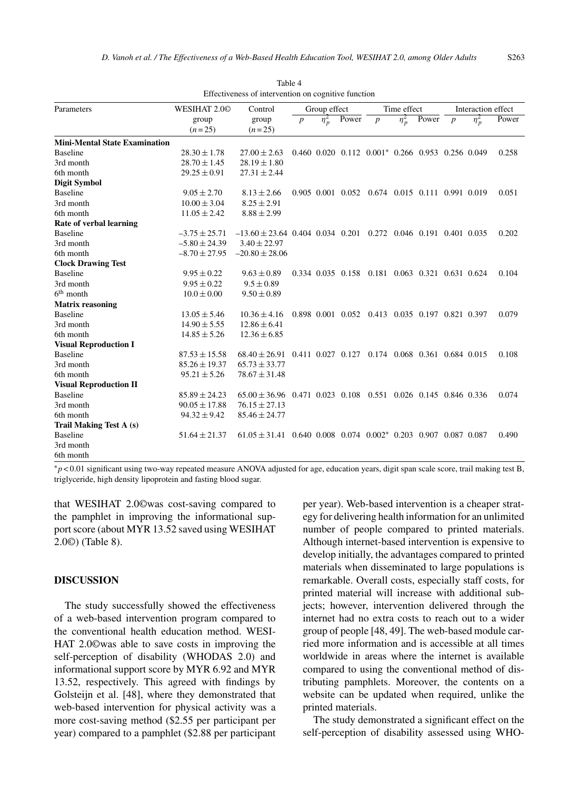| Parameters                           | WESIHAT 2.00      | Control                                                            |                  | Group effect | Time effect |                                                                  |                                         |  | Interaction effect |            |       |
|--------------------------------------|-------------------|--------------------------------------------------------------------|------------------|--------------|-------------|------------------------------------------------------------------|-----------------------------------------|--|--------------------|------------|-------|
|                                      | group             | group                                                              | $\boldsymbol{p}$ | $\eta_n^2$   | Power       |                                                                  | $\eta_p^2$<br>Power<br>$\boldsymbol{p}$ |  | $\boldsymbol{p}$   | $\eta_p^2$ | Power |
|                                      | $(n=25)$          | $(n=25)$                                                           |                  |              |             |                                                                  |                                         |  |                    |            |       |
| <b>Mini-Mental State Examination</b> |                   |                                                                    |                  |              |             |                                                                  |                                         |  |                    |            |       |
| <b>Baseline</b>                      | $28.30 \pm 1.78$  | $27.00 \pm 2.63$                                                   |                  |              |             | $0.460$ $0.020$ $0.112$ $0.001*$ $0.266$ $0.953$ $0.256$ $0.049$ |                                         |  |                    |            | 0.258 |
| 3rd month                            | $28.70 \pm 1.45$  | $28.19 \pm 1.80$                                                   |                  |              |             |                                                                  |                                         |  |                    |            |       |
| 6th month                            | $29.25 \pm 0.91$  | $27.31 \pm 2.44$                                                   |                  |              |             |                                                                  |                                         |  |                    |            |       |
| <b>Digit Symbol</b>                  |                   |                                                                    |                  |              |             |                                                                  |                                         |  |                    |            |       |
| <b>Baseline</b>                      | $9.05 \pm 2.70$   | $8.13 \pm 2.66$                                                    |                  |              |             | 0.905 0.001 0.052 0.674 0.015 0.111 0.991 0.019                  |                                         |  |                    |            | 0.051 |
| 3rd month                            | $10.00 \pm 3.04$  | $8.25 \pm 2.91$                                                    |                  |              |             |                                                                  |                                         |  |                    |            |       |
| 6th month                            | $11.05 \pm 2.42$  | $8.88 \pm 2.99$                                                    |                  |              |             |                                                                  |                                         |  |                    |            |       |
| Rate of verbal learning              |                   |                                                                    |                  |              |             |                                                                  |                                         |  |                    |            |       |
| <b>Baseline</b>                      | $-3.75 \pm 25.71$ | $-13.60 \pm 23.64$ 0.404 0.034 0.201 0.272 0.046 0.191 0.401 0.035 |                  |              |             |                                                                  |                                         |  |                    |            | 0.202 |
| 3rd month                            | $-5.80 \pm 24.39$ | $3.40 \pm 22.97$                                                   |                  |              |             |                                                                  |                                         |  |                    |            |       |
| 6th month                            | $-8.70 \pm 27.95$ | $-20.80 \pm 28.06$                                                 |                  |              |             |                                                                  |                                         |  |                    |            |       |
| <b>Clock Drawing Test</b>            |                   |                                                                    |                  |              |             |                                                                  |                                         |  |                    |            |       |
| <b>Baseline</b>                      | $9.95 \pm 0.22$   | $9.63 \pm 0.89$                                                    |                  |              |             | 0.334 0.035 0.158 0.181 0.063 0.321 0.631 0.624                  |                                         |  |                    |            | 0.104 |
| 3rd month                            | $9.95 \pm 0.22$   | $9.5 \pm 0.89$                                                     |                  |              |             |                                                                  |                                         |  |                    |            |       |
| $6th$ month                          | $10.0 \pm 0.00$   | $9.50 \pm 0.89$                                                    |                  |              |             |                                                                  |                                         |  |                    |            |       |
| <b>Matrix reasoning</b>              |                   |                                                                    |                  |              |             |                                                                  |                                         |  |                    |            |       |
| <b>Baseline</b>                      | $13.05 \pm 5.46$  | $10.36 \pm 4.16$                                                   |                  |              |             | 0.898 0.001 0.052 0.413 0.035 0.197 0.821 0.397                  |                                         |  |                    |            | 0.079 |
| 3rd month                            | $14.90 \pm 5.55$  | $12.86 \pm 6.41$                                                   |                  |              |             |                                                                  |                                         |  |                    |            |       |
| 6th month                            | $14.85 \pm 5.26$  | $12.36 \pm 6.85$                                                   |                  |              |             |                                                                  |                                         |  |                    |            |       |
| <b>Visual Reproduction I</b>         |                   |                                                                    |                  |              |             |                                                                  |                                         |  |                    |            |       |
| <b>Baseline</b>                      | $87.53 \pm 15.58$ | $68.40 \pm 26.91$                                                  |                  |              |             | 0.411 0.027 0.127 0.174 0.068 0.361 0.684 0.015                  |                                         |  |                    |            | 0.108 |
| 3rd month                            | $85.26 \pm 19.37$ | $65.73 \pm 33.77$                                                  |                  |              |             |                                                                  |                                         |  |                    |            |       |
| 6th month                            | $95.21 \pm 5.26$  | $78.67 \pm 31.48$                                                  |                  |              |             |                                                                  |                                         |  |                    |            |       |
| <b>Visual Reproduction II</b>        |                   |                                                                    |                  |              |             |                                                                  |                                         |  |                    |            |       |
| <b>Baseline</b>                      | $85.89 \pm 24.23$ | $65.00 \pm 36.96$ 0.471 0.023 0.108 0.551 0.026 0.145 0.846 0.336  |                  |              |             |                                                                  |                                         |  |                    |            | 0.074 |
| 3rd month                            | $90.05 \pm 17.88$ | $76.15 \pm 27.13$                                                  |                  |              |             |                                                                  |                                         |  |                    |            |       |
| 6th month                            | $94.32 \pm 9.42$  | $85.46 \pm 24.77$                                                  |                  |              |             |                                                                  |                                         |  |                    |            |       |
| Trail Making Test A (s)              |                   |                                                                    |                  |              |             |                                                                  |                                         |  |                    |            |       |
| <b>Baseline</b>                      | $51.64 \pm 21.37$ | $61.05 \pm 31.41$ 0.640 0.008 0.074 0.002* 0.203 0.907 0.087 0.087 |                  |              |             |                                                                  |                                         |  |                    |            | 0.490 |
| 3rd month                            |                   |                                                                    |                  |              |             |                                                                  |                                         |  |                    |            |       |
| 6th month                            |                   |                                                                    |                  |              |             |                                                                  |                                         |  |                    |            |       |

Table 4 Effectiveness of intervention on cognitive function

∗*p* < 0.01 significant using two-way repeated measure ANOVA adjusted for age, education years, digit span scale score, trail making test B, triglyceride, high density lipoprotein and fasting blood sugar.

that WESIHAT 2.0©was cost-saving compared to the pamphlet in improving the informational support score (about MYR 13.52 saved using WESIHAT 2.0©) (Table 8).

# **DISCUSSION**

The study successfully showed the effectiveness of a web-based intervention program compared to the conventional health education method. WESI-HAT 2.0©was able to save costs in improving the self-perception of disability (WHODAS 2.0) and informational support score by MYR 6.92 and MYR 13.52, respectively. This agreed with findings by Golsteijn et al. [48], where they demonstrated that web-based intervention for physical activity was a more cost-saving method (\$2.55 per participant per year) compared to a pamphlet (\$2.88 per participant

per year). Web-based intervention is a cheaper strategy for delivering health information for an unlimited number of people compared to printed materials. Although internet-based intervention is expensive to develop initially, the advantages compared to printed materials when disseminated to large populations is remarkable. Overall costs, especially staff costs, for printed material will increase with additional subjects; however, intervention delivered through the internet had no extra costs to reach out to a wider group of people [48, 49]. The web-based module carried more information and is accessible at all times worldwide in areas where the internet is available compared to using the conventional method of distributing pamphlets. Moreover, the contents on a website can be updated when required, unlike the printed materials.

The study demonstrated a significant effect on the self-perception of disability assessed using WHO-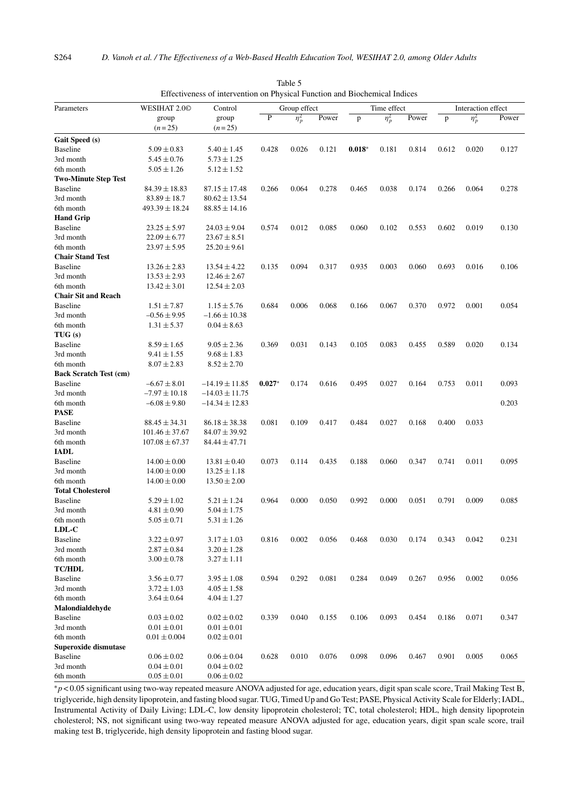|                               |                    |                    | Effectiveness of intervention on Physical Function and Biochemical Indices |              |       |              |             |       |                    |            |       |
|-------------------------------|--------------------|--------------------|----------------------------------------------------------------------------|--------------|-------|--------------|-------------|-------|--------------------|------------|-------|
| Parameters                    | WESIHAT 2.00       | Control            |                                                                            | Group effect |       |              | Time effect |       | Interaction effect |            |       |
|                               | group<br>$(n=25)$  | group<br>$(n=25)$  | P                                                                          | $\eta_p^2$   | Power | $\mathbf{p}$ | $\eta_p^2$  | Power | p                  | $\eta_p^2$ | Power |
| Gait Speed (s)                |                    |                    |                                                                            |              |       |              |             |       |                    |            |       |
| <b>Baseline</b>               | $5.09 \pm 0.83$    | $5.40 \pm 1.45$    | 0.428                                                                      | 0.026        | 0.121 | $0.018*$     | 0.181       | 0.814 | 0.612              | 0.020      | 0.127 |
|                               |                    |                    |                                                                            |              |       |              |             |       |                    |            |       |
| 3rd month                     | $5.45 \pm 0.76$    | $5.73 \pm 1.25$    |                                                                            |              |       |              |             |       |                    |            |       |
| 6th month                     | $5.05 \pm 1.26$    | $5.12 \pm 1.52$    |                                                                            |              |       |              |             |       |                    |            |       |
| <b>Two-Minute Step Test</b>   |                    |                    |                                                                            |              |       |              |             |       |                    |            |       |
| <b>Baseline</b>               | $84.39 \pm 18.83$  | $87.15 \pm 17.48$  | 0.266                                                                      | 0.064        | 0.278 | 0.465        | 0.038       | 0.174 | 0.266              | 0.064      | 0.278 |
| 3rd month                     | $83.89 \pm 18.7$   | $80.62 \pm 13.54$  |                                                                            |              |       |              |             |       |                    |            |       |
| 6th month                     | $493.39 \pm 18.24$ | $88.85 \pm 14.16$  |                                                                            |              |       |              |             |       |                    |            |       |
| <b>Hand Grip</b>              |                    |                    |                                                                            |              |       |              |             |       |                    |            |       |
| <b>Baseline</b>               | $23.25 \pm 5.97$   | $24.03 \pm 9.04$   | 0.574                                                                      | 0.012        | 0.085 | 0.060        | 0.102       | 0.553 | 0.602              | 0.019      | 0.130 |
| 3rd month                     | $22.09 \pm 6.77$   | $23.67 \pm 8.51$   |                                                                            |              |       |              |             |       |                    |            |       |
| 6th month                     | $23.97 \pm 5.95$   | $25.20 \pm 9.61$   |                                                                            |              |       |              |             |       |                    |            |       |
| <b>Chair Stand Test</b>       |                    |                    |                                                                            |              |       |              |             |       |                    |            |       |
| <b>Baseline</b>               | $13.26 \pm 2.83$   | $13.54 \pm 4.22$   | 0.135                                                                      | 0.094        | 0.317 | 0.935        | 0.003       | 0.060 | 0.693              | 0.016      | 0.106 |
| 3rd month                     | $13.53 \pm 2.93$   | $12.46 \pm 2.67$   |                                                                            |              |       |              |             |       |                    |            |       |
| 6th month                     | $13.42 \pm 3.01$   | $12.54 \pm 2.03$   |                                                                            |              |       |              |             |       |                    |            |       |
| <b>Chair Sit and Reach</b>    |                    |                    |                                                                            |              |       |              |             |       |                    |            |       |
| <b>Baseline</b>               | $1.51 \pm 7.87$    | $1.15 \pm 5.76$    | 0.684                                                                      | 0.006        | 0.068 | 0.166        | 0.067       | 0.370 | 0.972              | 0.001      | 0.054 |
| 3rd month                     | $-0.56 \pm 9.95$   | $-1.66 \pm 10.38$  |                                                                            |              |       |              |             |       |                    |            |       |
| 6th month                     | $1.31 \pm 5.37$    | $0.04 \pm 8.63$    |                                                                            |              |       |              |             |       |                    |            |       |
| TUG(s)                        |                    |                    |                                                                            |              |       |              |             |       |                    |            |       |
| <b>Baseline</b>               | $8.59 \pm 1.65$    | $9.05 \pm 2.36$    | 0.369                                                                      | 0.031        | 0.143 | 0.105        | 0.083       | 0.455 | 0.589              | 0.020      | 0.134 |
| 3rd month                     | $9.41 \pm 1.55$    | $9.68 \pm 1.83$    |                                                                            |              |       |              |             |       |                    |            |       |
| 6th month                     | $8.07 \pm 2.83$    | $8.52 \pm 2.70$    |                                                                            |              |       |              |             |       |                    |            |       |
| <b>Back Scratch Test (cm)</b> |                    |                    |                                                                            |              |       |              |             |       |                    |            |       |
| <b>Baseline</b>               | $-6.67 \pm 8.01$   | $-14.19 \pm 11.85$ | $0.027*$                                                                   | 0.174        | 0.616 | 0.495        | 0.027       | 0.164 | 0.753              | 0.011      | 0.093 |
| 3rd month                     | $-7.97 \pm 10.18$  | $-14.03 \pm 11.75$ |                                                                            |              |       |              |             |       |                    |            |       |
| 6th month                     | $-6.08 \pm 9.80$   | $-14.34 \pm 12.83$ |                                                                            |              |       |              |             |       |                    |            | 0.203 |
| <b>PASE</b>                   |                    |                    |                                                                            |              |       |              |             |       |                    |            |       |
| <b>Baseline</b>               | $88.45 \pm 34.31$  | $86.18 \pm 38.38$  | 0.081                                                                      | 0.109        | 0.417 | 0.484        | 0.027       | 0.168 | 0.400              | 0.033      |       |
| 3rd month                     | $101.46 \pm 37.67$ | $84.07 \pm 39.92$  |                                                                            |              |       |              |             |       |                    |            |       |
| 6th month                     | $107.08 \pm 67.37$ | $84.44 \pm 47.71$  |                                                                            |              |       |              |             |       |                    |            |       |
| <b>IADL</b>                   |                    |                    |                                                                            |              |       |              |             |       |                    |            |       |
| <b>Baseline</b>               | $14.00 \pm 0.00$   | $13.81 \pm 0.40$   | 0.073                                                                      | 0.114        | 0.435 | 0.188        | 0.060       | 0.347 | 0.741              | 0.011      | 0.095 |
| 3rd month                     | $14.00 \pm 0.00$   | $13.25 \pm 1.18$   |                                                                            |              |       |              |             |       |                    |            |       |
| 6th month                     | $14.00 \pm 0.00$   | $13.50 \pm 2.00$   |                                                                            |              |       |              |             |       |                    |            |       |
| <b>Total Cholesterol</b>      |                    |                    |                                                                            |              |       |              |             |       |                    |            |       |
| <b>Baseline</b>               | $5.29 \pm 1.02$    | $5.21 \pm 1.24$    | 0.964                                                                      | 0.000        | 0.050 | 0.992        | 0.000       | 0.051 | 0.791              | 0.009      | 0.085 |
| 3rd month                     | $4.81 \pm 0.90$    | $5.04 \pm 1.75$    |                                                                            |              |       |              |             |       |                    |            |       |
| 6th month                     | $5.05 \pm 0.71$    | $5.31 \pm 1.26$    |                                                                            |              |       |              |             |       |                    |            |       |
| LDL-C                         |                    |                    |                                                                            |              |       |              |             |       |                    |            |       |
| <b>Baseline</b>               | $3.22 \pm 0.97$    | $3.17 \pm 1.03$    | 0.816                                                                      | 0.002        | 0.056 | 0.468        | 0.030       | 0.174 | 0.343              | 0.042      | 0.231 |
| 3rd month                     | $2.87 \pm 0.84$    | $3.20 \pm 1.28$    |                                                                            |              |       |              |             |       |                    |            |       |
|                               |                    |                    |                                                                            |              |       |              |             |       |                    |            |       |
| 6th month                     | $3.00 \pm 0.78$    | $3.27 \pm 1.11$    |                                                                            |              |       |              |             |       |                    |            |       |
| <b>TC/HDL</b>                 |                    |                    |                                                                            |              |       |              |             |       |                    |            |       |
| <b>Baseline</b>               | $3.56 \pm 0.77$    | $3.95 \pm 1.08$    | 0.594                                                                      | 0.292        | 0.081 | 0.284        | 0.049       | 0.267 | 0.956              | 0.002      | 0.056 |
| 3rd month                     | $3.72 \pm 1.03$    | $4.05 \pm 1.58$    |                                                                            |              |       |              |             |       |                    |            |       |
| 6th month                     | $3.64 \pm 0.64$    | $4.04 \pm 1.27$    |                                                                            |              |       |              |             |       |                    |            |       |
| Malondialdehyde               |                    |                    |                                                                            |              |       |              |             |       |                    |            |       |
| <b>Baseline</b>               | $0.03 \pm 0.02$    | $0.02 \pm 0.02$    | 0.339                                                                      | 0.040        | 0.155 | 0.106        | 0.093       | 0.454 | 0.186              | 0.071      | 0.347 |
| 3rd month                     | $0.01 \pm 0.01$    | $0.01 \pm 0.01$    |                                                                            |              |       |              |             |       |                    |            |       |
| 6th month                     | $0.01 \pm 0.004$   | $0.02 \pm 0.01$    |                                                                            |              |       |              |             |       |                    |            |       |
| Superoxide dismutase          |                    |                    |                                                                            |              |       |              |             |       |                    |            |       |
| <b>Baseline</b>               | $0.06 \pm 0.02$    | $0.06 \pm 0.04$    | 0.628                                                                      | 0.010        | 0.076 | 0.098        | 0.096       | 0.467 | 0.901              | 0.005      | 0.065 |
| 3rd month                     | $0.04 \pm 0.01$    | $0.04 \pm 0.02$    |                                                                            |              |       |              |             |       |                    |            |       |
| 6th month                     | $0.05 \pm 0.01$    | $0.06 \pm 0.02$    |                                                                            |              |       |              |             |       |                    |            |       |

Table 5 Effectiveness of intervention on Physical Function and Biochemical Indices

∗*p* < 0.05 significant using two-way repeated measure ANOVA adjusted for age, education years, digit span scale score, Trail Making Test B, triglyceride, high density lipoprotein, and fasting blood sugar. TUG, Timed Up and Go Test; PASE, Physical Activity Scale for Elderly; IADL, Instrumental Activity of Daily Living; LDL-C, low density lipoprotein cholesterol; TC, total cholesterol; HDL, high density lipoprotein cholesterol; NS, not significant using two-way repeated measure ANOVA adjusted for age, education years, digit span scale score, trail making test B, triglyceride, high density lipoprotein and fasting blood sugar.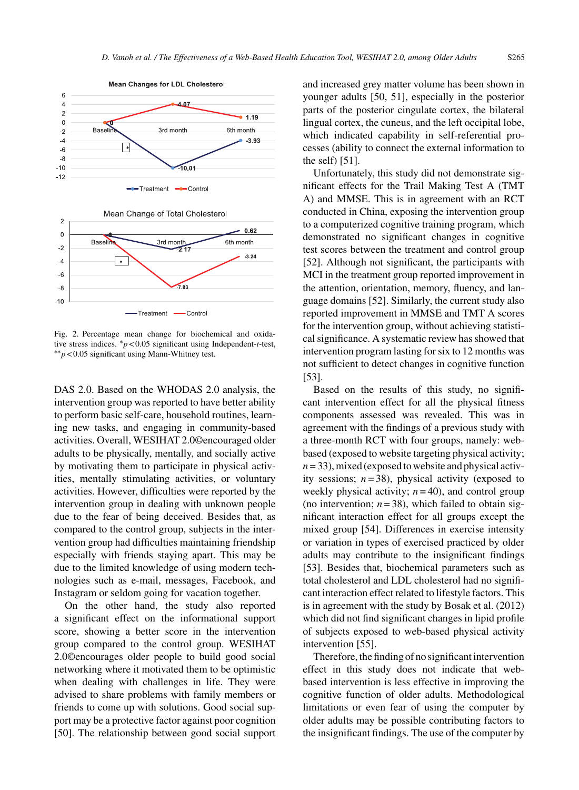

Fig. 2. Percentage mean change for biochemical and oxidative stress indices. ∗*p* < 0.05 significant using Independent-*t*-test, ∗∗*p* < 0.05 significant using Mann-Whitney test.

DAS 2.0. Based on the WHODAS 2.0 analysis, the intervention group was reported to have better ability to perform basic self-care, household routines, learning new tasks, and engaging in community-based activities. Overall, WESIHAT 2.0©encouraged older adults to be physically, mentally, and socially active by motivating them to participate in physical activities, mentally stimulating activities, or voluntary activities. However, difficulties were reported by the intervention group in dealing with unknown people due to the fear of being deceived. Besides that, as compared to the control group, subjects in the intervention group had difficulties maintaining friendship especially with friends staying apart. This may be due to the limited knowledge of using modern technologies such as e-mail, messages, Facebook, and Instagram or seldom going for vacation together.

On the other hand, the study also reported a significant effect on the informational support score, showing a better score in the intervention group compared to the control group. WESIHAT 2.0©encourages older people to build good social networking where it motivated them to be optimistic when dealing with challenges in life. They were advised to share problems with family members or friends to come up with solutions. Good social support may be a protective factor against poor cognition [50]. The relationship between good social support and increased grey matter volume has been shown in younger adults [50, 51], especially in the posterior parts of the posterior cingulate cortex, the bilateral lingual cortex, the cuneus, and the left occipital lobe, which indicated capability in self-referential processes (ability to connect the external information to the self) [51].

Unfortunately, this study did not demonstrate significant effects for the Trail Making Test A (TMT A) and MMSE. This is in agreement with an RCT conducted in China, exposing the intervention group to a computerized cognitive training program, which demonstrated no significant changes in cognitive test scores between the treatment and control group [52]. Although not significant, the participants with MCI in the treatment group reported improvement in the attention, orientation, memory, fluency, and language domains [52]. Similarly, the current study also reported improvement in MMSE and TMT A scores for the intervention group, without achieving statistical significance. A systematic review has showed that intervention program lasting for six to 12 months was not sufficient to detect changes in cognitive function [53].

Based on the results of this study, no significant intervention effect for all the physical fitness components assessed was revealed. This was in agreement with the findings of a previous study with a three-month RCT with four groups, namely: webbased (exposed to website targeting physical activity;  $n = 33$ ), mixed (exposed to website and physical activity sessions;  $n = 38$ ), physical activity (exposed to weekly physical activity;  $n = 40$ ), and control group (no intervention;  $n = 38$ ), which failed to obtain significant interaction effect for all groups except the mixed group [54]. Differences in exercise intensity or variation in types of exercised practiced by older adults may contribute to the insignificant findings [53]. Besides that, biochemical parameters such as total cholesterol and LDL cholesterol had no significant interaction effect related to lifestyle factors. This is in agreement with the study by Bosak et al. (2012) which did not find significant changes in lipid profile of subjects exposed to web-based physical activity intervention [55].

Therefore, the finding of no significant intervention effect in this study does not indicate that webbased intervention is less effective in improving the cognitive function of older adults. Methodological limitations or even fear of using the computer by older adults may be possible contributing factors to the insignificant findings. The use of the computer by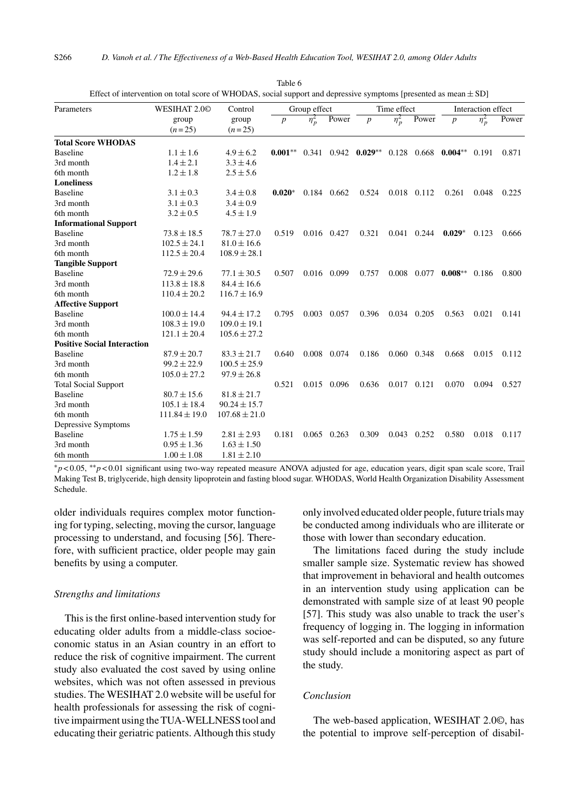| Parameters                         | WESIHAT 2.00      | Control           |                  | Group effect |               |                           | Time effect |             | Interaction effect |            |       |
|------------------------------------|-------------------|-------------------|------------------|--------------|---------------|---------------------------|-------------|-------------|--------------------|------------|-------|
|                                    | group             | group             | $\boldsymbol{p}$ | $\eta_p^2$   | Power         | $\boldsymbol{p}$          | $\eta_p^2$  | Power       | $\boldsymbol{p}$   | $\eta_p^2$ | Power |
|                                    | $(n=25)$          | $(n=25)$          |                  |              |               |                           |             |             |                    |            |       |
| <b>Total Score WHODAS</b>          |                   |                   |                  |              |               |                           |             |             |                    |            |       |
| <b>Baseline</b>                    | $1.1 \pm 1.6$     | $4.9 \pm 6.2$     | $0.001**$        |              |               | $0.341$ $0.942$ $0.029**$ | 0.128       |             | $0.668$ 0.004**    | 0.191      | 0.871 |
| 3rd month                          | $1.4 \pm 2.1$     | $3.3 \pm 4.6$     |                  |              |               |                           |             |             |                    |            |       |
| 6th month                          | $1.2 \pm 1.8$     | $2.5 \pm 5.6$     |                  |              |               |                           |             |             |                    |            |       |
| <b>Loneliness</b>                  |                   |                   |                  |              |               |                           |             |             |                    |            |       |
| <b>Baseline</b>                    | $3.1 \pm 0.3$     | $3.4 \pm 0.8$     | $0.020*$         |              | 0.184 0.662   | 0.524                     |             | 0.018 0.112 | 0.261              | 0.048      | 0.225 |
| 3rd month                          | $3.1 \pm 0.3$     | $3.4 \pm 0.9$     |                  |              |               |                           |             |             |                    |            |       |
| 6th month                          | $3.2 \pm 0.5$     | $4.5 \pm 1.9$     |                  |              |               |                           |             |             |                    |            |       |
| <b>Informational Support</b>       |                   |                   |                  |              |               |                           |             |             |                    |            |       |
| <b>Baseline</b>                    | $73.8 \pm 18.5$   | $78.7 \pm 27.0$   | 0.519            |              | 0.016 0.427   | 0.321                     |             | 0.041 0.244 | $0.029*$           | 0.123      | 0.666 |
| 3rd month                          | $102.5 \pm 24.1$  | $81.0 \pm 16.6$   |                  |              |               |                           |             |             |                    |            |       |
| 6th month                          | $112.5 \pm 20.4$  | $108.9 \pm 28.1$  |                  |              |               |                           |             |             |                    |            |       |
| <b>Tangible Support</b>            |                   |                   |                  |              |               |                           |             |             |                    |            |       |
| <b>Baseline</b>                    | $72.9 \pm 29.6$   | $77.1 \pm 30.5$   | 0.507            | 0.016        | 0.099         | 0.757                     | 0.008       | 0.077       | $0.008**$          | 0.186      | 0.800 |
| 3rd month                          | $113.8 \pm 18.8$  | $84.4 \pm 16.6$   |                  |              |               |                           |             |             |                    |            |       |
| 6th month                          | $110.4 \pm 20.2$  | $116.7 \pm 16.9$  |                  |              |               |                           |             |             |                    |            |       |
| <b>Affective Support</b>           |                   |                   |                  |              |               |                           |             |             |                    |            |       |
| <b>Baseline</b>                    | $100.0 \pm 14.4$  | $94.4 \pm 17.2$   | 0.795            |              | 0.003 0.057   | 0.396                     |             | 0.034 0.205 | 0.563              | 0.021      | 0.141 |
| 3rd month                          | $108.3 \pm 19.0$  | $109.0 \pm 19.1$  |                  |              |               |                           |             |             |                    |            |       |
| 6th month                          | $121.1 \pm 20.4$  | $105.6 \pm 27.2$  |                  |              |               |                           |             |             |                    |            |       |
| <b>Positive Social Interaction</b> |                   |                   |                  |              |               |                           |             |             |                    |            |       |
| <b>Baseline</b>                    | $87.9 \pm 20.7$   | $83.3 \pm 21.7$   | 0.640            |              | 0.008 0.074   | 0.186                     |             | 0.060 0.348 | 0.668              | 0.015      | 0.112 |
| 3rd month                          | $99.2 \pm 22.9$   | $100.5 \pm 25.9$  |                  |              |               |                           |             |             |                    |            |       |
| 6th month                          | $105.0 \pm 27.2$  | $97.9 \pm 26.8$   |                  |              |               |                           |             |             |                    |            |       |
| <b>Total Social Support</b>        |                   |                   | 0.521            |              | 0.015 0.096   | 0.636                     |             | 0.017 0.121 | 0.070              | 0.094      | 0.527 |
| <b>Baseline</b>                    | $80.7 \pm 15.6$   | $81.8 \pm 21.7$   |                  |              |               |                           |             |             |                    |            |       |
| 3rd month                          | $105.1 \pm 18.4$  | $90.24 \pm 15.7$  |                  |              |               |                           |             |             |                    |            |       |
| 6th month                          | $111.84 \pm 19.0$ | $107.68 \pm 21.0$ |                  |              |               |                           |             |             |                    |            |       |
| Depressive Symptoms                |                   |                   |                  |              |               |                           |             |             |                    |            |       |
| <b>Baseline</b>                    | $1.75 \pm 1.59$   | $2.81 \pm 2.93$   | 0.181            |              | $0.065$ 0.263 | 0.309                     | 0.043       | 0.252       | 0.580              | 0.018      | 0.117 |
| 3rd month                          | $0.95 \pm 1.36$   | $1.63 \pm 1.50$   |                  |              |               |                           |             |             |                    |            |       |
| 6th month                          | $1.00 \pm 1.08$   | $1.81 \pm 2.10$   |                  |              |               |                           |             |             |                    |            |       |

Table 6 Effect of intervention on total score of WHODAS, social support and depressive symptoms [presented as mean  $\pm$  SD]

∗*p* < 0.05, ∗∗*p* < 0.01 significant using two-way repeated measure ANOVA adjusted for age, education years, digit span scale score, Trail Making Test B, triglyceride, high density lipoprotein and fasting blood sugar. WHODAS, World Health Organization Disability Assessment Schedule.

older individuals requires complex motor functioning for typing, selecting, moving the cursor, language processing to understand, and focusing [56]. Therefore, with sufficient practice, older people may gain benefits by using a computer.

#### *Strengths and limitations*

This is the first online-based intervention study for educating older adults from a middle-class socioeconomic status in an Asian country in an effort to reduce the risk of cognitive impairment. The current study also evaluated the cost saved by using online websites, which was not often assessed in previous studies. The WESIHAT 2.0 website will be useful for health professionals for assessing the risk of cognitive impairment using the TUA-WELLNESS tool and educating their geriatric patients. Although this study only involved educated older people, future trials may be conducted among individuals who are illiterate or those with lower than secondary education.

The limitations faced during the study include smaller sample size. Systematic review has showed that improvement in behavioral and health outcomes in an intervention study using application can be demonstrated with sample size of at least 90 people [57]. This study was also unable to track the user's frequency of logging in. The logging in information was self-reported and can be disputed, so any future study should include a monitoring aspect as part of the study.

# *Conclusion*

The web-based application, WESIHAT 2.0©, has the potential to improve self-perception of disabil-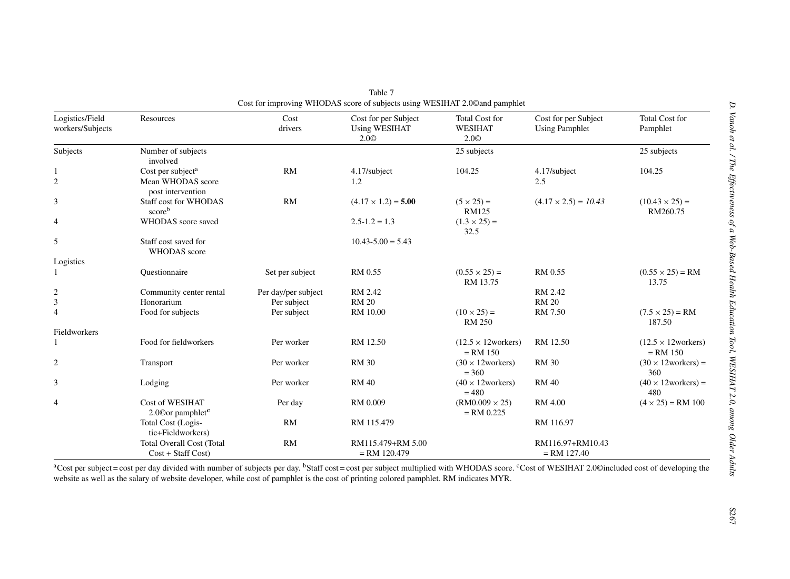| Logistics/Field<br>workers/Subjects | Resources                                                               | Cost<br>drivers     | Cost for per Subject<br><b>Using WESIHAT</b><br>2.0 <sup>°</sup> | Total Cost for<br><b>WESIHAT</b><br>2.0 <sup>°</sup> | Cost for per Subject<br><b>Using Pamphlet</b> | <b>Total Cost for</b><br>Pamphlet                |
|-------------------------------------|-------------------------------------------------------------------------|---------------------|------------------------------------------------------------------|------------------------------------------------------|-----------------------------------------------|--------------------------------------------------|
| Subjects                            | Number of subjects<br>involved                                          |                     |                                                                  | 25 subjects                                          |                                               | 25 subjects                                      |
| 1<br>$\overline{2}$                 | Cost per subject <sup>a</sup><br>Mean WHODAS score<br>post intervention | RM                  | 4.17/subject<br>1.2                                              | 104.25                                               | 4.17/subject<br>2.5                           | 104.25                                           |
| 3                                   | Staff cost for WHODAS<br>scoreb                                         | RM                  | $(4.17 \times 1.2) = 5.00$                                       | $(5 \times 25) =$<br><b>RM125</b>                    | $(4.17 \times 2.5) = 10.43$                   | $(10.43 \times 25) =$<br>RM260.75                |
| $\overline{4}$                      | WHODAS score saved                                                      |                     | $2.5 - 1.2 = 1.3$                                                | $(1.3 \times 25) =$<br>32.5                          |                                               |                                                  |
| 5                                   | Staff cost saved for<br><b>WHODAS</b> score                             |                     | $10.43 - 5.00 = 5.43$                                            |                                                      |                                               |                                                  |
| Logistics                           |                                                                         |                     |                                                                  |                                                      |                                               |                                                  |
|                                     | Ouestionnaire                                                           | Set per subject     | RM 0.55                                                          | $(0.55 \times 25) =$<br>RM 13.75                     | RM 0.55                                       | $(0.55 \times 25) = RM$<br>13.75                 |
| $\overline{c}$                      | Community center rental                                                 | Per day/per subject | RM 2.42                                                          |                                                      | RM 2.42                                       |                                                  |
| $\mathfrak{Z}$                      | Honorarium                                                              | Per subject         | <b>RM 20</b>                                                     |                                                      | <b>RM 20</b>                                  |                                                  |
| $\overline{4}$                      | Food for subjects                                                       | Per subject         | <b>RM</b> 10.00                                                  | $(10 \times 25) =$<br><b>RM 250</b>                  | RM 7.50                                       | $(7.5 \times 25) = RM$<br>187.50                 |
| Fieldworkers                        |                                                                         |                     |                                                                  |                                                      |                                               |                                                  |
|                                     | Food for fieldworkers                                                   | Per worker          | RM 12.50                                                         | $(12.5 \times 12 \text{ workers})$<br>$= RM 150$     | RM 12.50                                      | $(12.5 \times 12 \text{ workers})$<br>$= RM 150$ |
| $\mathfrak{2}$                      | Transport                                                               | Per worker          | <b>RM 30</b>                                                     | $(30 \times 12 \text{ workers})$<br>$= 360$          | <b>RM 30</b>                                  | $(30 \times 12 \text{ workers}) =$<br>360        |
| 3                                   | Lodging                                                                 | Per worker          | <b>RM 40</b>                                                     | $(40 \times 12$ workers)<br>$= 480$                  | <b>RM 40</b>                                  | $(40 \times 12 \text{works}) =$<br>480           |
| $\overline{4}$                      | Cost of WESIHAT<br>2.00 or pamphlet <sup>c</sup>                        | Per day             | RM 0.009                                                         | $(RM0.009 \times 25)$<br>$=$ RM 0.225                | RM 4.00                                       | $(4 \times 25) = RM 100$                         |
|                                     | Total Cost (Logis-<br>tic+Fieldworkers)                                 | RM                  | RM 115.479                                                       |                                                      | RM 116.97                                     |                                                  |
|                                     | <b>Total Overall Cost (Total</b><br>$Cost + Staff Cost)$                | <b>RM</b>           | RM115.479+RM 5.00<br>$= RM$ 120.479                              |                                                      | RM116.97+RM10.43<br>$= RM 127.40$             |                                                  |

| Table 7                                                                     |  |
|-----------------------------------------------------------------------------|--|
| Cost for improving WHODAS score of subjects using WESIHAT 2.0© and pamphlet |  |

<sup>a</sup>Cost per subject = cost per day divided with number of subjects per day. <sup>b</sup>Staff cost = cost per subject multiplied with WHODAS score. <sup>c</sup>Cost of WESIHAT 2.0©included cost of developing the website as well as the salary of website developer, while cost of pamphlet is the cost of printing colored pamphlet. RM indicates MYR.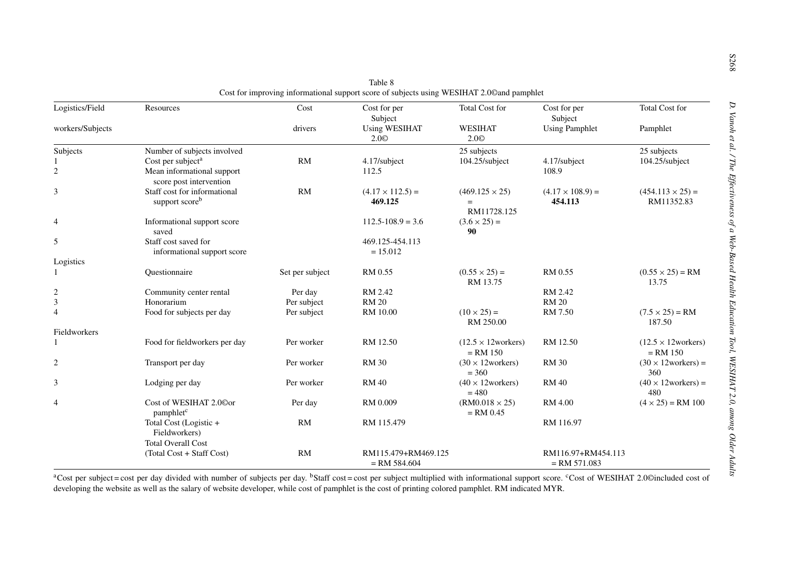| Logistics/Field  | Resources                                              | Cost            | Cost for per<br>Subject                  | <b>Total Cost for</b>                            | Cost for per<br>Subject              | <b>Total Cost for</b>                            |
|------------------|--------------------------------------------------------|-----------------|------------------------------------------|--------------------------------------------------|--------------------------------------|--------------------------------------------------|
| workers/Subjects |                                                        | drivers         | <b>Using WESIHAT</b><br>2.0 <sup>°</sup> | WESIHAT<br>2.0 <sup>°</sup>                      | <b>Using Pamphlet</b>                | Pamphlet                                         |
| Subjects         | Number of subjects involved                            |                 |                                          | 25 subjects                                      |                                      | 25 subjects                                      |
|                  | Cost per subject <sup>a</sup>                          | RM              | 4.17/subject                             | 104.25/subject                                   | 4.17/subject                         | 104.25/subject                                   |
| $\overline{c}$   | Mean informational support<br>score post intervention  |                 | 112.5                                    |                                                  | 108.9                                |                                                  |
| 3                | Staff cost for informational<br>support scoreb         | RM              | $(4.17 \times 112.5) =$<br>469.125       | $(469.125 \times 25)$<br>$=$                     | $(4.17 \times 108.9) =$<br>454.113   | $(454.113 \times 25) =$<br>RM11352.83            |
|                  |                                                        |                 |                                          | RM11728.125                                      |                                      |                                                  |
| 4                | Informational support score<br>saved                   |                 | $112.5 - 108.9 = 3.6$                    | $(3.6 \times 25) =$<br>90                        |                                      |                                                  |
| 5                | Staff cost saved for                                   |                 | 469.125-454.113                          |                                                  |                                      |                                                  |
|                  | informational support score                            |                 | $= 15.012$                               |                                                  |                                      |                                                  |
| Logistics        |                                                        |                 |                                          |                                                  |                                      |                                                  |
|                  | Questionnaire                                          | Set per subject | RM 0.55                                  | $(0.55 \times 25) =$<br>RM 13.75                 | RM 0.55                              | $(0.55 \times 25) = RM$<br>13.75                 |
| $\overline{c}$   | Community center rental                                | Per day         | RM 2.42                                  |                                                  | RM 2.42                              |                                                  |
| 3                | Honorarium                                             | Per subject     | <b>RM 20</b>                             |                                                  | <b>RM 20</b>                         |                                                  |
| $\overline{4}$   | Food for subjects per day                              | Per subject     | RM 10.00                                 | $(10 \times 25) =$<br>RM 250.00                  | RM 7.50                              | $(7.5 \times 25) = RM$<br>187.50                 |
| Fieldworkers     |                                                        |                 |                                          |                                                  |                                      |                                                  |
|                  | Food for fieldworkers per day                          | Per worker      | RM 12.50                                 | $(12.5 \times 12 \text{ workers})$<br>$=$ RM 150 | RM 12.50                             | $(12.5 \times 12 \text{ workers})$<br>$=$ RM 150 |
| 2                | Transport per day                                      | Per worker      | <b>RM 30</b>                             | $(30 \times 12 \text{ workers})$<br>$= 360$      | <b>RM 30</b>                         | $(30 \times 12 \text{works}) =$<br>360           |
| 3                | Lodging per day                                        | Per worker      | <b>RM40</b>                              | $(40 \times 12 \text{works})$<br>$= 480$         | <b>RM 40</b>                         | $(40 \times 12$ workers) =<br>480                |
| 4                | Cost of WESIHAT 2.00or<br>pamphlet <sup>c</sup>        | Per day         | RM 0.009                                 | $(RM0.018 \times 25)$<br>$=$ RM 0.45             | RM 4.00                              | $(4 \times 25) = RM 100$                         |
|                  | Total Cost (Logistic +<br>Fieldworkers)                | RM              | RM 115.479                               |                                                  | RM 116.97                            |                                                  |
|                  | <b>Total Overall Cost</b><br>(Total Cost + Staff Cost) | RM              | RM115.479+RM469.125<br>$=$ RM 584.604    |                                                  | RM116.97+RM454.113<br>$=$ RM 571.083 |                                                  |

<sup>a</sup>Cost per subject = cost per day divided with number of subjects per day. <sup>b</sup>Staff cost = cost per subject multiplied with informational support score. <sup>c</sup>Cost of WESIHAT 2.0©included cost of developing the website as well as the salary of website developer, while cost of pamphlet is the cost of printing colored pamphlet. RM indicated MYR.

S268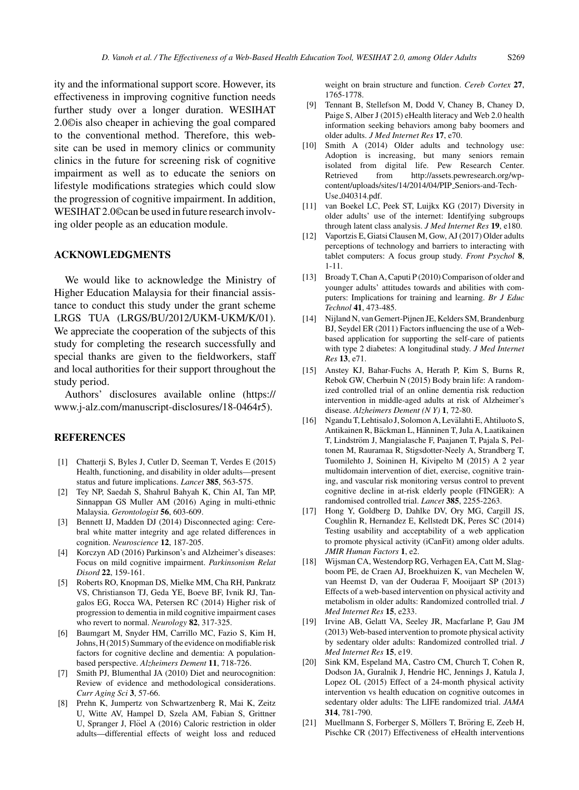ity and the informational support score. However, its effectiveness in improving cognitive function needs further study over a longer duration. WESIHAT 2.0©is also cheaper in achieving the goal compared to the conventional method. Therefore, this website can be used in memory clinics or community clinics in the future for screening risk of cognitive impairment as well as to educate the seniors on lifestyle modifications strategies which could slow the progression of cognitive impairment. In addition, WESIHAT 2.0©can be used in future research involving older people as an education module.

## **ACKNOWLEDGMENTS**

We would like to acknowledge the Ministry of Higher Education Malaysia for their financial assistance to conduct this study under the grant scheme LRGS TUA (LRGS/BU/2012/UKM-UKM/K/01). We appreciate the cooperation of the subjects of this study for completing the research successfully and special thanks are given to the fieldworkers, staff and local authorities for their support throughout the study period.

Authors' disclosures available online ([https://](https://www.j-alz.com/manuscript-disclosures/18-0464r5) [www.j-alz.com/manuscript-disclosures/18-0464r5\)](https://www.j-alz.com/manuscript-disclosures/18-0464r5).

#### **REFERENCES**

- [1] Chatterji S, Byles J, Cutler D, Seeman T, Verdes E (2015) Health, functioning, and disability in older adults—present status and future implications. *Lancet* **385**, 563-575.
- [2] Tey NP, Saedah S, Shahrul Bahyah K, Chin AI, Tan MP, Sinnappan GS Muller AM (2016) Aging in multi-ethnic Malaysia. *Gerontologist* **56**, 603-609.
- [3] Bennett IJ, Madden DJ (2014) Disconnected aging: Cerebral white matter integrity and age related differences in cognition. *Neuroscience* **12**, 187-205.
- [4] Korczyn AD (2016) Parkinson's and Alzheimer's diseases: Focus on mild cognitive impairment. *Parkinsonism Relat Disord* **22**, 159-161.
- [5] Roberts RO, Knopman DS, Mielke MM, Cha RH, Pankratz VS, Christianson TJ, Geda YE, Boeve BF, Ivnik RJ, Tangalos EG, Rocca WA, Petersen RC (2014) Higher risk of progression to dementia in mild cognitive impairment cases who revert to normal. *Neurology* **82**, 317-325.
- [6] Baumgart M, Snyder HM, Carrillo MC, Fazio S, Kim H, Johns, H (2015) Summary of the evidence on modifiable risk factors for cognitive decline and dementia: A populationbased perspective. *Alzheimers Dement* **11**, 718-726.
- [7] Smith PJ, Blumenthal JA (2010) Diet and neurocognition: Review of evidence and methodological considerations. *Curr Aging Sci* **3**, 57-66.
- [8] Prehn K, Jumpertz von Schwartzenberg R, Mai K, Zeitz U, Witte AV, Hampel D, Szela AM, Fabian S, Grittner U, Spranger J, Flöel A (2016) Caloric restriction in older adults—differential effects of weight loss and reduced

weight on brain structure and function. *Cereb Cortex* **27**, 1765-1778.

- [9] Tennant B, Stellefson M, Dodd V, Chaney B, Chaney D, Paige S, Alber J (2015) eHealth literacy and Web 2.0 health information seeking behaviors among baby boomers and older adults. *J Med Internet Res* **17**, e70.
- [10] Smith A (2014) Older adults and technology use: Adoption is increasing, but many seniors remain isolated from digital life. Pew Research Center. Retrieved from [http://assets.pewresearch.org/wp](http://assets.pewresearch.org/wp-content/uploads/sites/14/2014/04/PIP_Seniors-and-Tech-Use_040314.pdf)content/uploads/sites/14/2014/04/PIP Seniors-and-Tech-Use 040314.pdf.
- [11] van Boekel LC, Peek ST, Luijkx KG (2017) Diversity in older adults' use of the internet: Identifying subgroups through latent class analysis. *J Med Internet Res* **19**, e180.
- [12] Vaportzis E, Giatsi Clausen M, Gow, AJ (2017) Older adults perceptions of technology and barriers to interacting with tablet computers: A focus group study. *Front Psychol* **8**, 1-11.
- [13] Broady T, Chan A, Caputi P (2010) Comparison of older and younger adults' attitudes towards and abilities with computers: Implications for training and learning. *Br J Educ Technol* **41**, 473-485.
- [14] Nijland N, van Gemert-Pijnen JE, Kelders SM, Brandenburg BJ, Seydel ER (2011) Factors influencing the use of a Webbased application for supporting the self-care of patients with type 2 diabetes: A longitudinal study. *J Med Internet Res* **13**, e71.
- [15] Anstey KJ, Bahar-Fuchs A, Herath P, Kim S, Burns R, Rebok GW, Cherbuin N (2015) Body brain life: A randomized controlled trial of an online dementia risk reduction intervention in middle-aged adults at risk of Alzheimer's disease. *Alzheimers Dement (N Y)* **1**, 72-80.
- [16] Ngandu T, Lehtisalo J, Solomon A, Levalahti E, Ahtiluoto S, ¨ Antikainen R, Bäckman L, Hänninen T, Jula A, Laatikainen T, Lindström J, Mangialasche F, Paajanen T, Pajala S, Peltonen M, Rauramaa R, Stigsdotter-Neely A, Strandberg T, Tuomilehto J, Soininen H, Kivipelto M (2015) A 2 year multidomain intervention of diet, exercise, cognitive training, and vascular risk monitoring versus control to prevent cognitive decline in at-risk elderly people (FINGER): A randomised controlled trial. *Lancet* **385**, 2255-2263.
- [17] Hong Y, Goldberg D, Dahlke DV, Ory MG, Cargill JS, Coughlin R, Hernandez E, Kellstedt DK, Peres SC (2014) Testing usability and acceptability of a web application to promote physical activity (iCanFit) among older adults. *JMIR Human Factors* **1**, e2.
- [18] Wijsman CA, Westendorp RG, Verhagen EA, Catt M, Slagboom PE, de Craen AJ, Broekhuizen K, van Mechelen W, van Heemst D, van der Ouderaa F, Mooijaart SP (2013) Effects of a web-based intervention on physical activity and metabolism in older adults: Randomized controlled trial. *J Med Internet Res* **15**, e233.
- [19] Irvine AB, Gelatt VA, Seeley JR, Macfarlane P, Gau JM (2013) Web-based intervention to promote physical activity by sedentary older adults: Randomized controlled trial. *J Med Internet Res* **15**, e19.
- [20] Sink KM, Espeland MA, Castro CM, Church T, Cohen R, Dodson JA, Guralnik J, Hendrie HC, Jennings J, Katula J, Lopez OL (2015) Effect of a 24-month physical activity intervention vs health education on cognitive outcomes in sedentary older adults: The LIFE randomized trial. *JAMA* **314**, 781-790.
- [21] Muellmann S, Forberger S, Möllers T, Bröring E, Zeeb H, Pischke CR (2017) Effectiveness of eHealth interventions